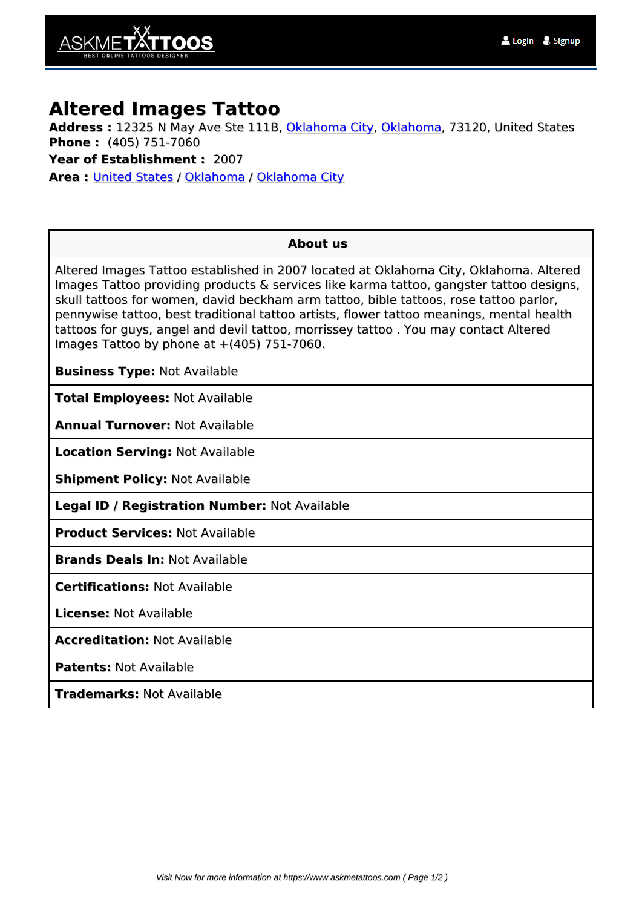

## **Altered Images Tattoo**

**Address :** 12325 N May Ave Ste 111B, [Oklahoma City](https://www.askmetattoos.com/area/united-states/oklahoma/oklahoma-city/), [Oklahoma](https://www.askmetattoos.com/area/united-states/oklahoma/), 73120, United States **Phone :** (405) 751-7060

**Year of Establishment :** 2007

**Area :** [United States](https://www.askmetattoos.com/area/united-states/) / [Oklahoma](https://www.askmetattoos.com/area/united-states/oklahoma/) / [Oklahoma City](https://www.askmetattoos.com/area/united-states/oklahoma/oklahoma-city/)

## **About us**

Altered Images Tattoo established in 2007 located at Oklahoma City, Oklahoma. Altered Images Tattoo providing products & services like karma tattoo, gangster tattoo designs, skull tattoos for women, david beckham arm tattoo, bible tattoos, rose tattoo parlor, pennywise tattoo, best traditional tattoo artists, flower tattoo meanings, mental health tattoos for guys, angel and devil tattoo, morrissey tattoo . You may contact Altered Images Tattoo by phone at  $+(405)$  751-7060.

**Business Type:** Not Available

**Total Employees:** Not Available

**Annual Turnover:** Not Available

**Location Serving:** Not Available

**Shipment Policy:** Not Available

**Legal ID / Registration Number:** Not Available

**Product Services:** Not Available

**Brands Deals In:** Not Available

**Certifications:** Not Available

**License:** Not Available

**Accreditation:** Not Available

**Patents:** Not Available

**Trademarks:** Not Available